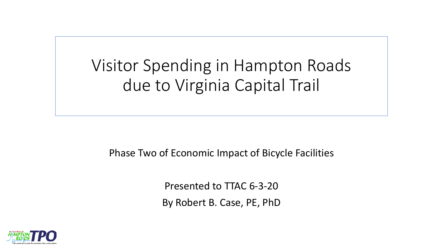Visitor Spending in Hampton Roads due to Virginia Capital Trail

Phase Two of Economic Impact of Bicycle Facilities

Presented to TTAC 6-3-20 By Robert B. Case, PE, PhD

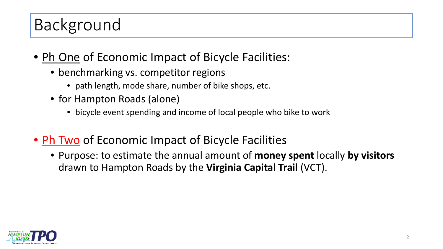# Background

- Ph One of Economic Impact of Bicycle Facilities:
	- benchmarking vs. competitor regions
		- path length, mode share, number of bike shops, etc.
	- for Hampton Roads (alone)
		- bicycle event spending and income of local people who bike to work
- Ph Two of Economic Impact of Bicycle Facilities
	- Purpose: to estimate the annual amount of **money spent** locally **by visitors** drawn to Hampton Roads by the **Virginia Capital Trail** (VCT).

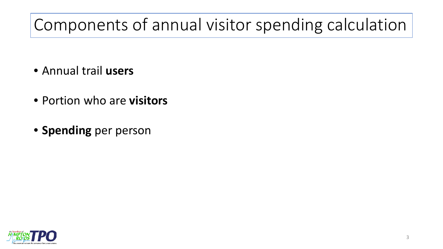# Components of annual visitor spending calculation

- Annual trail **users**
- Portion who are **visitors**
- **Spending** per person

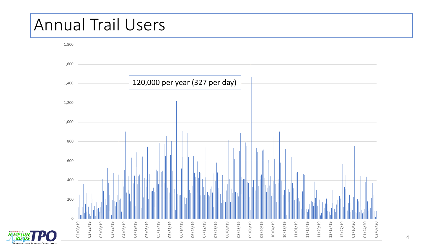#### $1$ Virginia Capital Trail, Greensprings counter, 365 days Annual Trail Users

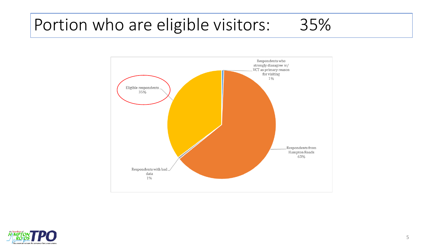## Portion who are eligible visitors: 35%



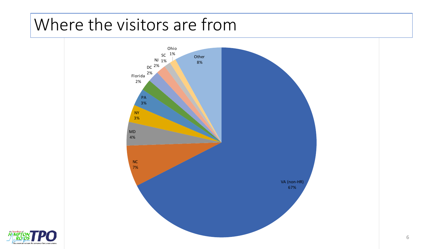#### Where the visitors are from



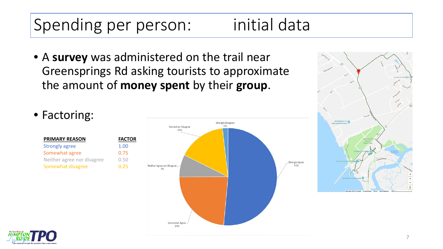# Spending per person: initial data

• A **survey** was administered on the trail near Greensprings Rd asking tourists to approximate the amount of **money spent** by their **group**.



| <b>PRIMARY REASON</b>      | <b>FACT</b> |
|----------------------------|-------------|
| <b>Strongly agree</b>      | 1.00        |
| Somewhat agree             | 0.75        |
| Neither agree nor disagree | 0.50        |
| Somewhat disagree          | በ 25        |





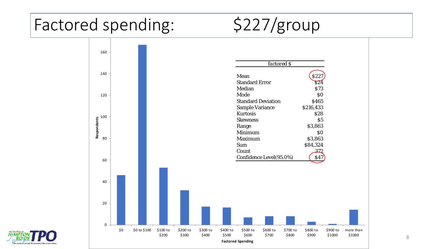## Factored spending: \$227/group



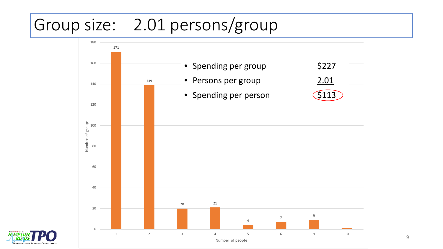# Group size: 2.01 persons/group